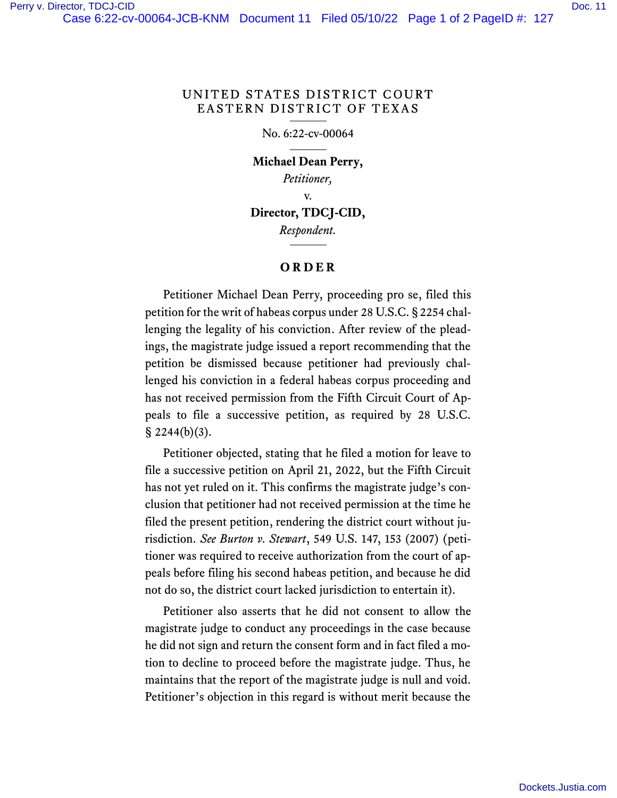### UNITED STATES DISTRICT COURT EASTERN DISTRICT OF TEXAS

#### No. 6:22-cv-00064

## **Michael Dean Perry,** *Petitioner,* v.

# **Director, TDCJ-CID,**

*Respondent.*

### **ORDER**

Petitioner Michael Dean Perry, proceeding pro se, filed this petition for the writ of habeas corpus under 28 U.S.C. § 2254 challenging the legality of his conviction. After review of the pleadings, the magistrate judge issued a report recommending that the petition be dismissed because petitioner had previously challenged his conviction in a federal habeas corpus proceeding and has not received permission from the Fifth Circuit Court of Appeals to file a successive petition, as required by 28 U.S.C.  $\S$  2244(b)(3).

Petitioner objected, stating that he filed a motion for leave to file a successive petition on April 21, 2022, but the Fifth Circuit has not yet ruled on it. This confirms the magistrate judge's conclusion that petitioner had not received permission at the time he filed the present petition, rendering the district court without jurisdiction. *See Burton v. Stewart*, 549 U.S. 147, 153 (2007) (petitioner was required to receive authorization from the court of appeals before filing his second habeas petition, and because he did not do so, the district court lacked jurisdiction to entertain it).

Petitioner also asserts that he did not consent to allow the magistrate judge to conduct any proceedings in the case because he did not sign and return the consent form and in fact filed a motion to decline to proceed before the magistrate judge. Thus, he maintains that the report of the magistrate judge is null and void. Petitioner's objection in this regard is without merit because the